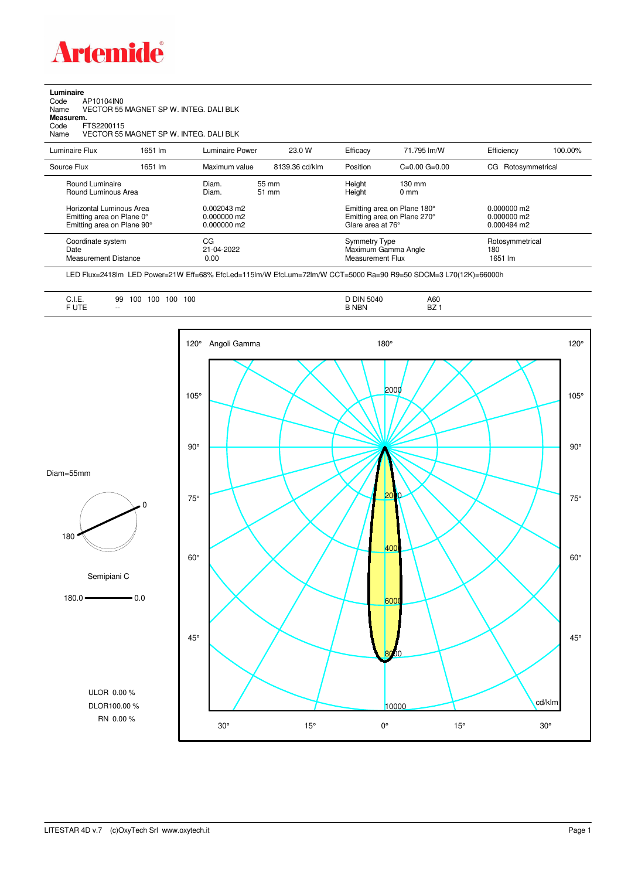

**Luminaire**<br>Code<br>Name Code AP10104IN0 Name VECTOR 55 MAGNET SP W. INTEG. DALI BLK

**Measurem.**

Code FTS2200115<br>Name VECTOR 551 Name VECTOR 55 MAGNET SP W. INTEG. DALI BLK

| Luminaire Flux                                                                                                                | 1651 lm | Luminaire Power                                                   | 23.0 W         | Efficacy                              | 71.795 lm/W                                                                                      | Efficiency                                             | 100.00% |
|-------------------------------------------------------------------------------------------------------------------------------|---------|-------------------------------------------------------------------|----------------|---------------------------------------|--------------------------------------------------------------------------------------------------|--------------------------------------------------------|---------|
| Source Flux                                                                                                                   | 1651 lm | Maximum value                                                     | 8139.36 cd/klm | Position                              | $C=0.00$ $G=0.00$                                                                                | Rotosymmetrical<br>CG.                                 |         |
| Round Luminaire<br>Round Luminous Area<br>Horizontal Luminous Area<br>Emitting area on Plane 0°<br>Emitting area on Plane 90° |         | Diam.<br>Diam.<br>$0.002043$ m2<br>$0.000000$ m2<br>$0.000000$ m2 | 55 mm<br>51 mm | Height<br>Height<br>Glare area at 76° | $130 \text{ mm}$<br>$0 \text{ mm}$<br>Emitting area on Plane 180°<br>Emitting area on Plane 270° | $0.000000$ m2<br>$0.000000$ m2<br>$0.000494 \text{ m}$ |         |
| Coordinate system<br>Date<br><b>Measurement Distance</b>                                                                      |         | CG<br>21-04-2022<br>0.00                                          |                | Symmetry Type<br>Measurement Flux     | Maximum Gamma Angle                                                                              | Rotosymmetrical<br>180<br>1651 lm                      |         |

LED Flux=2418lm LED Power=21W Eff=68% EfcLed=115lm/W EfcLum=72lm/W CCT=5000 Ra=90 R9=50 SDCM=3 L70(12K)=66000h